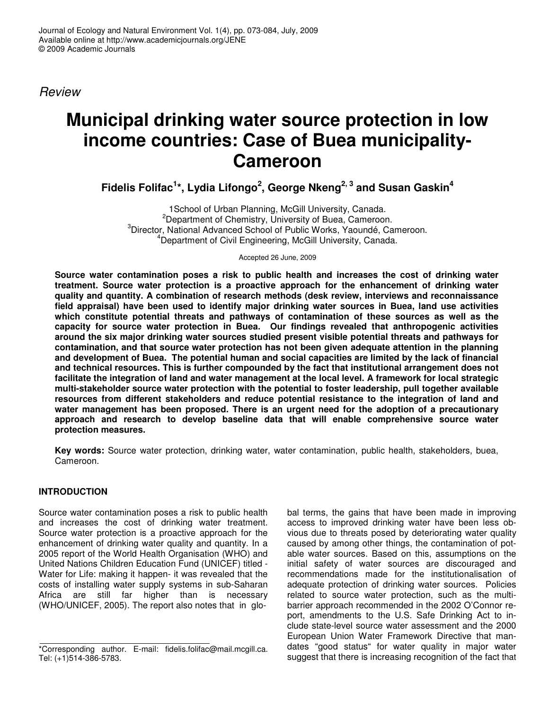*Review*

# **Municipal drinking water source protection in low income countries: Case of Buea municipality-Cameroon**

**Fidelis Folifac 1 \*, Lydia Lifongo 2 , George Nkeng 2, 3 and Susan Gaskin 4**

1School of Urban Planning, McGill University, Canada. <sup>2</sup>Department of Chemistry, University of Buea, Cameroon. <sup>3</sup>Director, National Advanced School of Public Works, Yaoundé, Cameroon. <sup>4</sup>Department of Civil Engineering, McGill University, Canada.

Accepted 26 June, 2009

**Source water contamination poses a risk to public health and increases the cost of drinking water treatment. Source water protection is a proactive approach for the enhancement of drinking water quality and quantity. A combination of research methods (desk review, interviews and reconnaissance field appraisal) have been used to identify major drinking water sources in Buea, land use activities which constitute potential threats and pathways of contamination of these sources as well as the capacity for source water protection in Buea. Our findings revealed that anthropogenic activities around the six major drinking water sources studied present visible potential threats and pathways for contamination, and that source water protection has not been given adequate attention in the planning and development of Buea. The potential human and social capacities are limited by the lack of financial and technical resources. This is further compounded by the fact that institutional arrangement does not** facilitate the integration of land and water management at the local level. A framework for local strategic **multi-stakeholder source water protection with the potential to foster leadership, pull together available resources from different stakeholders and reduce potential resistance to the integration of land and water management has been proposed. There is an urgent need for the adoption of a precautionary approach and research to develop baseline data that will enable comprehensive source water protection measures.**

**Key words:** Source water protection, drinking water, water contamination, public health, stakeholders, buea, Cameroon.

# **INTRODUCTION**

Source water contamination poses a risk to public health and increases the cost of drinking water treatment. Source water protection is a proactive approach for the enhancement of drinking water quality and quantity. In a 2005 report of the World Health Organisation (WHO) and United Nations Children Education Fund (UNICEF) titled - Water for Life: making it happen- it was revealed that the costs of installing water supply systems in sub-Saharan Africa are still far higher than is necessary (WHO/UNICEF, 2005). The report also notes that in glo-

bal terms, the gains that have been made in improving access to improved drinking water have been less obvious due to threats posed by deteriorating water quality caused by among other things, the contamination of potable water sources. Based on this, assumptions on the initial safety of water sources are discouraged and recommendations made for the institutionalisation of adequate protection of drinking water sources. Policies related to source water protection, such as the multibarrier approach recommended in the 2002 O'Connor report, amendments to the U.S. Safe Drinking Act to include state-level source water assessment and the 2000 European Union Water Framework Directive that mandates "good status" for water quality in major water suggest that there is increasing recognition of the fact that

<sup>\*</sup>Corresponding author. E-mail: fidelis.folifac@mail.mcgill.ca. Tel: (+1)514-386-5783.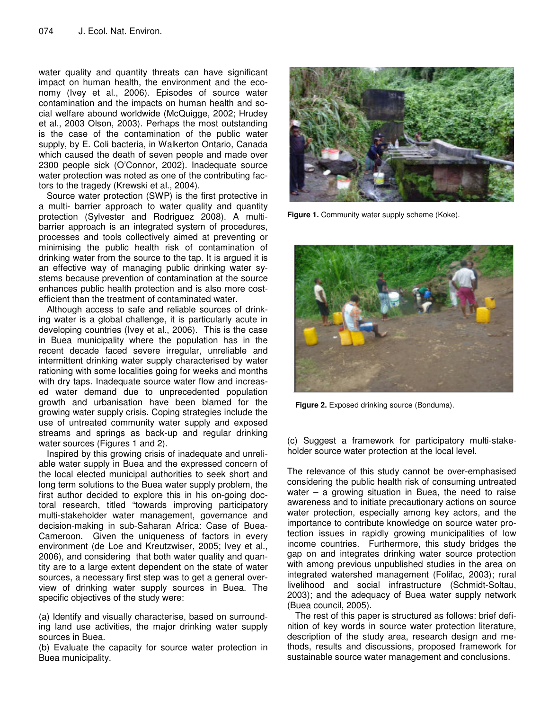water quality and quantity threats can have significant impact on human health, the environment and the economy (Ivey et al., 2006). Episodes of source water contamination and the impacts on human health and social welfare abound worldwide (McQuigge, 2002; Hrudey et al., 2003 Olson, 2003). Perhaps the most outstanding is the case of the contamination of the public water supply, by E. Coli bacteria, in Walkerton Ontario, Canada which caused the death of seven people and made over 2300 people sick (O'Connor, 2002). Inadequate source water protection was noted as one of the contributing factors to the tragedy (Krewski et al., 2004).

Source water protection (SWP) is the first protective in a multi- barrier approach to water quality and quantity protection (Sylvester and Rodriguez 2008). A multibarrier approach is an integrated system of procedures, processes and tools collectively aimed at preventing or minimising the public health risk of contamination of drinking water from the source to the tap. It is argued it is an effective way of managing public drinking water systems because prevention of contamination at the source enhances public health protection and is also more costefficient than the treatment of contaminated water.

Although access to safe and reliable sources of drinking water is a global challenge, it is particularly acute in developing countries (Ivey et al., 2006). This is the case in Buea municipality where the population has in the recent decade faced severe irregular, unreliable and intermittent drinking water supply characterised by water rationing with some localities going for weeks and months with dry taps. Inadequate source water flow and increased water demand due to unprecedented population growth and urbanisation have been blamed for the growing water supply crisis. Coping strategies include the use of untreated community water supply and exposed streams and springs as back-up and regular drinking water sources (Figures 1 and 2).

Inspired by this growing crisis of inadequate and unreliable water supply in Buea and the expressed concern of the local elected municipal authorities to seek short and long term solutions to the Buea water supply problem, the first author decided to explore this in his on-going doctoral research, titled "towards improving participatory multi-stakeholder water management, governance and decision-making in sub-Saharan Africa: Case of Buea-Cameroon. Given the uniqueness of factors in every environment (de Loe and Kreutzwiser, 2005; Ivey et al., 2006), and considering that both water quality and quantity are to a large extent dependent on the state of water sources, a necessary first step was to get a general overview of drinking water supply sources in Buea. The specific objectives of the study were:

(a) Identify and visually characterise, based on surrounding land use activities, the major drinking water supply sources in Buea.

(b) Evaluate the capacity for source water protection in Buea municipality.



**Figure 1.** Community water supply scheme (Koke).



**Figure 2.** Exposed drinking source (Bonduma).

(c) Suggest a framework for participatory multi-stakeholder source water protection at the local level.

The relevance of this study cannot be over-emphasised considering the public health risk of consuming untreated water  $-$  a growing situation in Buea, the need to raise awareness and to initiate precautionary actions on source water protection, especially among key actors, and the importance to contribute knowledge on source water protection issues in rapidly growing municipalities of low income countries. Furthermore, this study bridges the gap on and integrates drinking water source protection with among previous unpublished studies in the area on integrated watershed management (Folifac, 2003); rural livelihood and social infrastructure (Schmidt-Soltau, 2003); and the adequacy of Buea water supply network (Buea council, 2005).

The rest of this paper is structured as follows: brief definition of key words in source water protection literature, description of the study area, research design and methods, results and discussions, proposed framework for sustainable source water management and conclusions.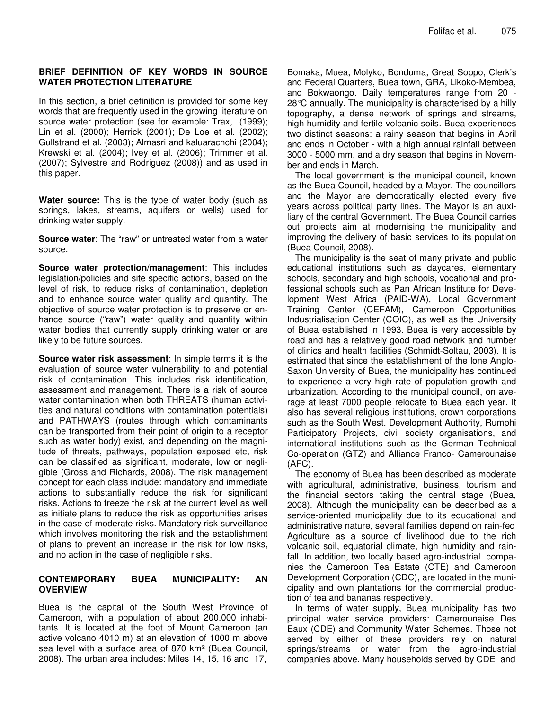#### **BRIEF DEFINITION OF KEY WORDS IN SOURCE WATER PROTECTION LITERATURE**

In this section, a brief definition is provided for some key words that are frequently used in the growing literature on source water protection (see for example: Trax, (1999); Lin et al. (2000); Herrick (2001); De Loe et al. (2002); Gullstrand et al. (2003); Almasri and kaluarachchi (2004); Krewski et al. (2004); Ivey et al. (2006); Trimmer et al. (2007); Sylvestre and Rodriguez (2008)) and as used in this paper.

**Water source:** This is the type of water body (such as springs, lakes, streams, aquifers or wells) used for drinking water supply.

**Source water**: The "raw" or untreated water from a water source.

**Source water protection/management**: This includes legislation/policies and site specific actions, based on the level of risk, to reduce risks of contamination, depletion and to enhance source water quality and quantity. The objective of source water protection is to preserve or enhance source ("raw") water quality and quantity within water bodies that currently supply drinking water or are likely to be future sources.

**Source water risk assessment**: In simple terms it is the evaluation of source water vulnerability to and potential risk of contamination. This includes risk identification, assessment and management. There is a risk of source water contamination when both THREATS (human activities and natural conditions with contamination potentials) and PATHWAYS (routes through which contaminants can be transported from their point of origin to a receptor such as water body) exist, and depending on the magnitude of threats, pathways, population exposed etc, risk can be classified as significant, moderate, low or negligible (Gross and Richards, 2008). The risk management concept for each class include: mandatory and immediate actions to substantially reduce the risk for significant risks. Actions to freeze the risk at the current level as well as initiate plans to reduce the risk as opportunities arises in the case of moderate risks. Mandatory risk surveillance which involves monitoring the risk and the establishment of plans to prevent an increase in the risk for low risks, and no action in the case of negligible risks.

# **CONTEMPORARY BUEA MUNICIPALITY: AN OVERVIEW**

Buea is the capital of the South West Province of Cameroon, with a population of about 200.000 inhabitants. It is located at the foot of Mount Cameroon (an active volcano 4010 m) at an elevation of 1000 m above sea level with a surface area of 870 km² (Buea Council, 2008). The urban area includes: Miles 14, 15, 16 and 17,

Bomaka, Muea, Molyko, Bonduma, Great Soppo, Clerk's and Federal Quarters, Buea town, GRA, Likoko-Membea, and Bokwaongo. Daily temperatures range from 20 - 28°C annually. The municipality is characterised by a hilly topography, a dense network of springs and streams, high humidity and fertile volcanic soils. Buea experiences two distinct seasons: a rainy season that begins in April and ends in October - with a high annual rainfall between 3000 - 5000 mm, and a dry season that begins in November and ends in March.

The local government is the municipal council, known as the Buea Council, headed by a Mayor. The councillors and the Mayor are democratically elected every five years across political party lines. The Mayor is an auxiliary of the central Government. The Buea Council carries out projects aim at modernising the municipality and improving the delivery of basic services to its population (Buea Council, 2008).

The municipality is the seat of many private and public educational institutions such as daycares, elementary schools, secondary and high schools, vocational and professional schools such as Pan African Institute for Development West Africa (PAID-WA), Local Government Training Center (CEFAM), Cameroon Opportunities Industrialisation Center (COIC), as well as the University of Buea established in 1993. Buea is very accessible by road and has a relatively good road network and number of clinics and health facilities (Schmidt-Soltau, 2003). It is estimated that since the establishment of the lone Anglo-Saxon University of Buea, the municipality has continued to experience a very high rate of population growth and urbanization. According to the municipal council, on average at least 7000 people relocate to Buea each year. It also has several religious institutions, crown corporations such as the South West. Development Authority, Rumphi Participatory Projects, civil society organisations, and international institutions such as the German Technical Co-operation (GTZ) and Alliance Franco- Camerounaise (AFC).

The economy of Buea has been described as moderate with agricultural, administrative, business, tourism and the financial sectors taking the central stage (Buea, 2008). Although the municipality can be described as a service-oriented municipality due to its educational and administrative nature, several families depend on rain-fed Agriculture as a source of livelihood due to the rich volcanic soil, equatorial climate, high humidity and rainfall. In addition, two locally based agro-industrial companies the Cameroon Tea Estate (CTE) and Cameroon Development Corporation (CDC), are located in the municipality and own plantations for the commercial production of tea and bananas respectively.

In terms of water supply, Buea municipality has two principal water service providers: Camerounaise Des Eaux (CDE) and Community Water Schemes. Those not served by either of these providers rely on natural springs/streams or water from the agro-industrial companies above. Many households served by CDE and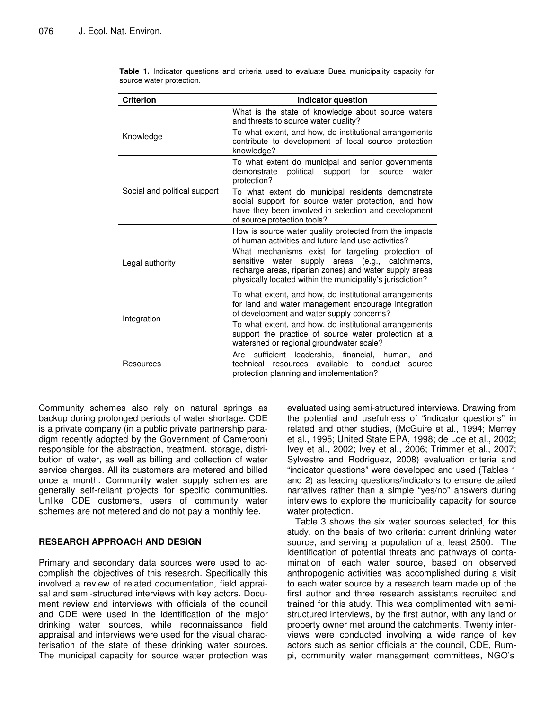| <b>Criterion</b>             | <b>Indicator question</b>                                                                                                                                                                                                                                                                                                                        |  |  |  |  |  |
|------------------------------|--------------------------------------------------------------------------------------------------------------------------------------------------------------------------------------------------------------------------------------------------------------------------------------------------------------------------------------------------|--|--|--|--|--|
| Knowledge                    | What is the state of knowledge about source waters<br>and threats to source water quality?<br>To what extent, and how, do institutional arrangements<br>contribute to development of local source protection<br>knowledge?                                                                                                                       |  |  |  |  |  |
| Social and political support | To what extent do municipal and senior governments<br>demonstrate<br>political<br>support<br>for<br>source<br>water<br>protection?<br>To what extent do municipal residents demonstrate<br>social support for source water protection, and how<br>have they been involved in selection and development<br>of source protection tools?            |  |  |  |  |  |
| Legal authority              | How is source water quality protected from the impacts<br>of human activities and future land use activities?<br>What mechanisms exist for targeting protection of<br>water supply areas (e.g., catchments,<br>sensitive<br>recharge areas, riparian zones) and water supply areas<br>physically located within the municipality's jurisdiction? |  |  |  |  |  |
| Integration                  | To what extent, and how, do institutional arrangements<br>for land and water management encourage integration<br>of development and water supply concerns?<br>To what extent, and how, do institutional arrangements<br>support the practice of source water protection at a<br>watershed or regional groundwater scale?                         |  |  |  |  |  |
| Resources                    | sufficient leadership, financial,<br>Are<br>human.<br>and<br>available<br>technical<br>resources<br>to conduct<br>source<br>protection planning and implementation?                                                                                                                                                                              |  |  |  |  |  |

**Table 1.** Indicator questions and criteria used to evaluate Buea municipality capacity for source water protection.

Community schemes also rely on natural springs as backup during prolonged periods of water shortage. CDE is a private company (in a public private partnership paradigm recently adopted by the Government of Cameroon) responsible for the abstraction, treatment, storage, distribution of water, as well as billing and collection of water service charges. All its customers are metered and billed once a month. Community water supply schemes are generally self-reliant projects for specific communities. Unlike CDE customers, users of community water schemes are not metered and do not pay a monthly fee.

#### **RESEARCH APPROACH AND DESIGN**

Primary and secondary data sources were used to accomplish the objectives of this research. Specifically this involved a review of related documentation, field appraisal and semi-structured interviews with key actors. Document review and interviews with officials of the council and CDE were used in the identification of the major drinking water sources, while reconnaissance field appraisal and interviews were used for the visual characterisation of the state of these drinking water sources. The municipal capacity for source water protection was

evaluated using semi-structured interviews. Drawing from the potential and usefulness of "indicator questions" in related and other studies, (McGuire et al., 1994; Merrey et al., 1995; United State EPA, 1998; de Loe et al., 2002; Ivey et al., 2002; Ivey et al., 2006; Trimmer et al., 2007; Sylvestre and Rodriguez, 2008) evaluation criteria and "indicator questions" were developed and used (Tables 1 and 2) as leading questions/indicators to ensure detailed narratives rather than a simple "yes/no" answers during interviews to explore the municipality capacity for source water protection.

Table 3 shows the six water sources selected, for this study, on the basis of two criteria: current drinking water source, and serving a population of at least 2500. The identification of potential threats and pathways of contamination of each water source, based on observed anthropogenic activities was accomplished during a visit to each water source by a research team made up of the first author and three research assistants recruited and trained for this study. This was complimented with semistructured interviews, by the first author, with any land or property owner met around the catchments. Twenty interviews were conducted involving a wide range of key actors such as senior officials at the council, CDE, Rumpi, community water management committees, NGO's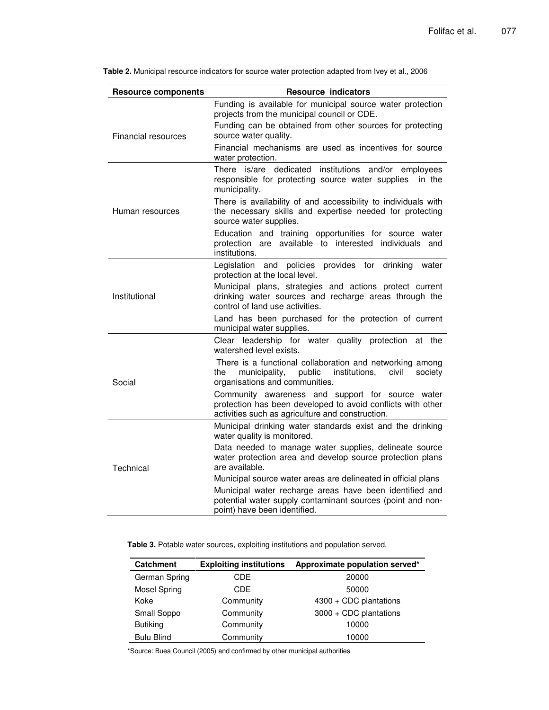| <b>Resource components</b> | <b>Resource indicators</b>                                                                                                                                                                                                                                |  |  |  |
|----------------------------|-----------------------------------------------------------------------------------------------------------------------------------------------------------------------------------------------------------------------------------------------------------|--|--|--|
| <b>Financial resources</b> | Funding is available for municipal source water protection<br>projects from the municipal council or CDE.<br>Funding can be obtained from other sources for protecting<br>source water quality.<br>Financial mechanisms are used as incentives for source |  |  |  |
|                            | water protection.                                                                                                                                                                                                                                         |  |  |  |
|                            | There is/are dedicated institutions and/or employees<br>responsible for protecting source water supplies<br>in the<br>municipality.                                                                                                                       |  |  |  |
| Human resources            | There is availability of and accessibility to individuals with<br>the necessary skills and expertise needed for protecting<br>source water supplies.                                                                                                      |  |  |  |
|                            | Education and training opportunities for source water<br>available to interested<br>individuals<br>protection are<br>and<br>institutions.                                                                                                                 |  |  |  |
| Institutional              | and policies provides for<br>Legislation<br>drinking<br>water<br>protection at the local level.                                                                                                                                                           |  |  |  |
|                            | Municipal plans, strategies and actions protect current<br>drinking water sources and recharge areas through the<br>control of land use activities.                                                                                                       |  |  |  |
|                            | Land has been purchased for the protection of current<br>municipal water supplies.                                                                                                                                                                        |  |  |  |
|                            | Clear leadership for water quality protection<br>at the<br>watershed level exists.                                                                                                                                                                        |  |  |  |
| Social                     | There is a functional collaboration and networking among<br>institutions,<br>municipality,<br>public<br>civil<br>society<br>the<br>organisations and communities.                                                                                         |  |  |  |
|                            | Community awareness and support for source water<br>protection has been developed to avoid conflicts with other<br>activities such as agriculture and construction.                                                                                       |  |  |  |
| Technical                  | Municipal drinking water standards exist and the drinking<br>water quality is monitored.                                                                                                                                                                  |  |  |  |
|                            | Data needed to manage water supplies, delineate source<br>water protection area and develop source protection plans<br>are available.                                                                                                                     |  |  |  |
|                            | Municipal source water areas are delineated in official plans                                                                                                                                                                                             |  |  |  |
|                            | Municipal water recharge areas have been identified and<br>potential water supply contaminant sources (point and non-<br>point) have been identified.                                                                                                     |  |  |  |

**Table 2.** Municipal resource indicators for source water protection adapted from Ivey et al., 2006

**Table 3.** Potable water sources, exploiting institutions and population served.

| <b>Catchment</b>    | <b>Exploiting institutions</b> | Approximate population served* |  |  |
|---------------------|--------------------------------|--------------------------------|--|--|
| German Spring       | CDE.                           | 20000                          |  |  |
| <b>Mosel Spring</b> | CDE.                           | 50000                          |  |  |
| Koke                | Community                      | $4300 + CDC$ plantations       |  |  |
| Small Soppo         | Community                      | 3000 + CDC plantations         |  |  |
| <b>Butiking</b>     | Community                      | 10000                          |  |  |
| <b>Bulu Blind</b>   | Community                      | 10000                          |  |  |

\*Source: Buea Council (2005) and confirmed by other municipal authorities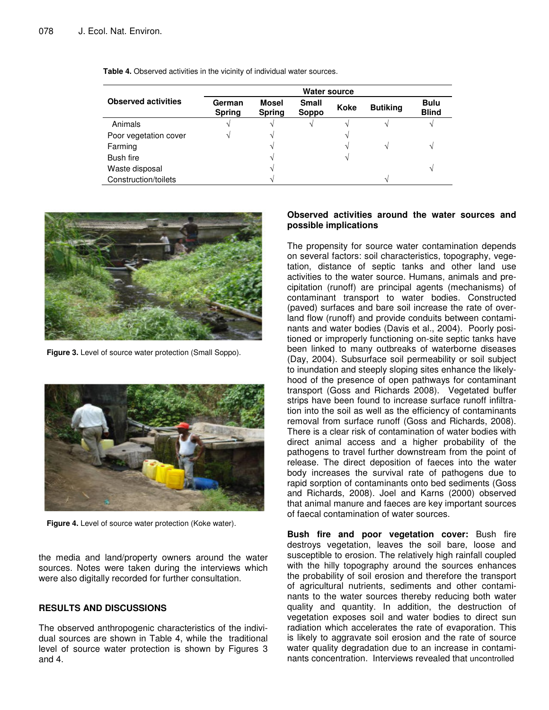|                            | <b>Water source</b>     |                        |                       |      |                 |                             |  |  |
|----------------------------|-------------------------|------------------------|-----------------------|------|-----------------|-----------------------------|--|--|
| <b>Observed activities</b> | German<br><b>Spring</b> | Mosel<br><b>Spring</b> | <b>Small</b><br>Soppo | Koke | <b>Butiking</b> | <b>Bulu</b><br><b>Blind</b> |  |  |
| Animals                    |                         |                        | V                     |      |                 |                             |  |  |
| Poor vegetation cover      |                         |                        |                       |      |                 |                             |  |  |
| Farming                    |                         |                        |                       |      |                 |                             |  |  |
| Bush fire                  |                         |                        |                       |      |                 |                             |  |  |
| Waste disposal             |                         |                        |                       |      |                 |                             |  |  |
| Construction/toilets       |                         |                        |                       |      | $\triangleleft$ |                             |  |  |

**Table 4.** Observed activities in the vicinity of individual water sources.



**Figure 3.** Level of source water protection (Small Soppo).



**Figure 4.** Level of source water protection (Koke water).

the media and land/property owners around the water sources. Notes were taken during the interviews which were also digitally recorded for further consultation.

#### **RESULTS AND DISCUSSIONS**

The observed anthropogenic characteristics of the individual sources are shown in Table 4, while the traditional level of source water protection is shown by Figures 3 and 4.

#### **Observed activities around the water sources and possible implications**

The propensity for source water contamination depends on several factors: soil characteristics, topography, vegetation, distance of septic tanks and other land use activities to the water source. Humans, animals and precipitation (runoff) are principal agents (mechanisms) of contaminant transport to water bodies. Constructed (paved) surfaces and bare soil increase the rate of overland flow (runoff) and provide conduits between contaminants and water bodies (Davis et al., 2004). Poorly positioned or improperly functioning on-site septic tanks have been linked to many outbreaks of waterborne diseases (Day, 2004). Subsurface soil permeability or soil subject to inundation and steeply sloping sites enhance the likelyhood of the presence of open pathways for contaminant transport (Goss and Richards 2008). Vegetated buffer strips have been found to increase surface runoff infiltration into the soil as well as the efficiency of contaminants removal from surface runoff (Goss and Richards, 2008). There is a clear risk of contamination of water bodies with direct animal access and a higher probability of the pathogens to travel further downstream from the point of release. The direct deposition of faeces into the water body increases the survival rate of pathogens due to rapid sorption of contaminants onto bed sediments (Goss and Richards, 2008). Joel and Karns (2000) observed that animal manure and faeces are key important sources of faecal contamination of water sources.

**Bush fire and poor vegetation cover:** Bush fire destroys vegetation, leaves the soil bare, loose and susceptible to erosion. The relatively high rainfall coupled with the hilly topography around the sources enhances the probability of soil erosion and therefore the transport of agricultural nutrients, sediments and other contaminants to the water sources thereby reducing both water quality and quantity. In addition, the destruction of vegetation exposes soil and water bodies to direct sun radiation which accelerates the rate of evaporation. This is likely to aggravate soil erosion and the rate of source water quality degradation due to an increase in contaminants concentration. Interviews revealed that uncontrolled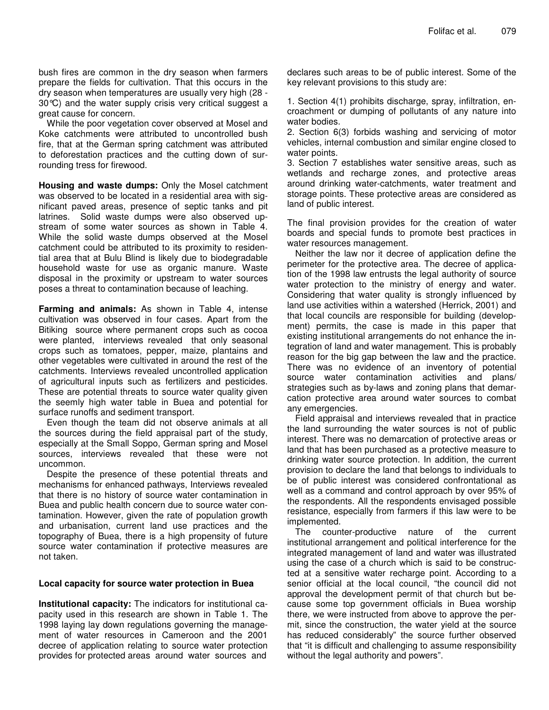bush fires are common in the dry season when farmers prepare the fields for cultivation. That this occurs in the dry season when temperatures are usually very high (28 - 30°C) and the water supply crisis very critical suggest a great cause for concern.

While the poor vegetation cover observed at Mosel and Koke catchments were attributed to uncontrolled bush fire, that at the German spring catchment was attributed to deforestation practices and the cutting down of surrounding tress for firewood.

**Housing and waste dumps:** Only the Mosel catchment was observed to be located in a residential area with significant paved areas, presence of septic tanks and pit latrines. Solid waste dumps were also observed upstream of some water sources as shown in Table 4. While the solid waste dumps observed at the Mosel catchment could be attributed to its proximity to residential area that at Bulu Blind is likely due to biodegradable household waste for use as organic manure. Waste disposal in the proximity or upstream to water sources poses a threat to contamination because of leaching.

**Farming and animals:** As shown in Table 4, intense cultivation was observed in four cases. Apart from the Bitiking source where permanent crops such as cocoa were planted, interviews revealed that only seasonal crops such as tomatoes, pepper, maize, plantains and other vegetables were cultivated in around the rest of the catchments. Interviews revealed uncontrolled application of agricultural inputs such as fertilizers and pesticides. These are potential threats to source water quality given the seemly high water table in Buea and potential for surface runoffs and sediment transport.

Even though the team did not observe animals at all the sources during the field appraisal part of the study, especially at the Small Soppo, German spring and Mosel sources, interviews revealed that these were not uncommon.

Despite the presence of these potential threats and mechanisms for enhanced pathways, Interviews revealed that there is no history of source water contamination in Buea and public health concern due to source water contamination. However, given the rate of population growth and urbanisation, current land use practices and the topography of Buea, there is a high propensity of future source water contamination if protective measures are not taken.

#### **Local capacity for source water protection in Buea**

**Institutional capacity:** The indicators for institutional capacity used in this research are shown in Table 1. The 1998 laying lay down regulations governing the management of water resources in Cameroon and the 2001 decree of application relating to source water protection provides for protected areas around water sources and

declares such areas to be of public interest. Some of the key relevant provisions to this study are:

1. Section 4(1) prohibits discharge, spray, infiltration, encroachment or dumping of pollutants of any nature into water bodies.

2. Section 6(3) forbids washing and servicing of motor vehicles, internal combustion and similar engine closed to water points.

3. Section 7 establishes water sensitive areas, such as wetlands and recharge zones, and protective areas around drinking water-catchments, water treatment and storage points. These protective areas are considered as land of public interest.

The final provision provides for the creation of water boards and special funds to promote best practices in water resources management.

Neither the law nor it decree of application define the perimeter for the protective area. The decree of application of the 1998 law entrusts the legal authority of source water protection to the ministry of energy and water. Considering that water quality is strongly influenced by land use activities within a watershed (Herrick, 2001) and that local councils are responsible for building (development) permits, the case is made in this paper that existing institutional arrangements do not enhance the integration of land and water management. This is probably reason for the big gap between the law and the practice. There was no evidence of an inventory of potential source water contamination activities and plans/ strategies such as by-laws and zoning plans that demarcation protective area around water sources to combat any emergencies.

Field appraisal and interviews revealed that in practice the land surrounding the water sources is not of public interest. There was no demarcation of protective areas or land that has been purchased as a protective measure to drinking water source protection. In addition, the current provision to declare the land that belongs to individuals to be of public interest was considered confrontational as well as a command and control approach by over 95% of the respondents. All the respondents envisaged possible resistance, especially from farmers if this law were to be implemented.

The counter-productive nature of the current institutional arrangement and political interference for the integrated management of land and water was illustrated using the case of a church which is said to be constructed at a sensitive water recharge point. According to a senior official at the local council, "the council did not approval the development permit of that church but because some top government officials in Buea worship there, we were instructed from above to approve the permit, since the construction, the water yield at the source has reduced considerably" the source further observed that "it is difficult and challenging to assume responsibility without the legal authority and powers".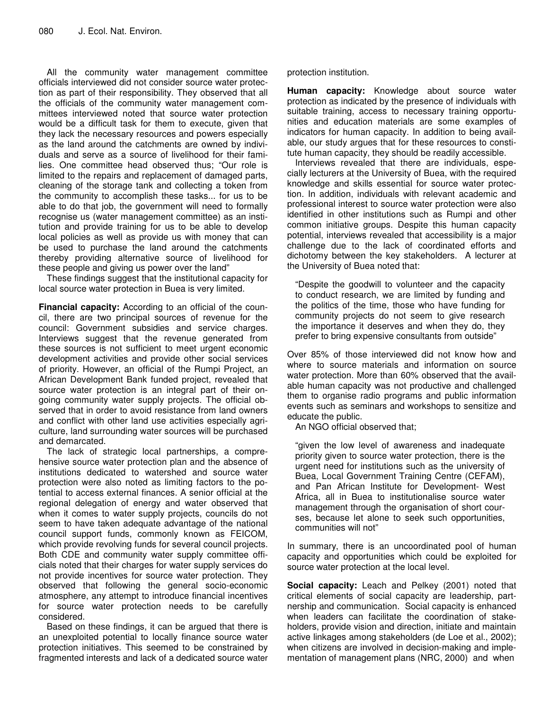All the community water management committee officials interviewed did not consider source water protection as part of their responsibility. They observed that all the officials of the community water management committees interviewed noted that source water protection would be a difficult task for them to execute, given that they lack the necessary resources and powers especially as the land around the catchments are owned by individuals and serve as a source of livelihood for their families. One committee head observed thus; "Our role is limited to the repairs and replacement of damaged parts, cleaning of the storage tank and collecting a token from the community to accomplish these tasks... for us to be able to do that job, the government will need to formally recognise us (water management committee) as an institution and provide training for us to be able to develop local policies as well as provide us with money that can be used to purchase the land around the catchments thereby providing alternative source of livelihood for these people and giving us power over the land"

These findings suggest that the institutional capacity for local source water protection in Buea is very limited.

**Financial capacity:** According to an official of the council, there are two principal sources of revenue for the council: Government subsidies and service charges. Interviews suggest that the revenue generated from these sources is not sufficient to meet urgent economic development activities and provide other social services of priority. However, an official of the Rumpi Project, an African Development Bank funded project, revealed that source water protection is an integral part of their ongoing community water supply projects. The official observed that in order to avoid resistance from land owners and conflict with other land use activities especially agriculture, land surrounding water sources will be purchased and demarcated.

The lack of strategic local partnerships, a comprehensive source water protection plan and the absence of institutions dedicated to watershed and source water protection were also noted as limiting factors to the potential to access external finances. A senior official at the regional delegation of energy and water observed that when it comes to water supply projects, councils do not seem to have taken adequate advantage of the national council support funds, commonly known as FEICOM, which provide revolving funds for several council projects. Both CDE and community water supply committee officials noted that their charges for water supply services do not provide incentives for source water protection. They observed that following the general socio-economic atmosphere, any attempt to introduce financial incentives for source water protection needs to be carefully considered.

Based on these findings, it can be argued that there is an unexploited potential to locally finance source water protection initiatives. This seemed to be constrained by fragmented interests and lack of a dedicated source water protection institution.

**Human capacity:** Knowledge about source water protection as indicated by the presence of individuals with suitable training, access to necessary training opportunities and education materials are some examples of indicators for human capacity. In addition to being available, our study argues that for these resources to constitute human capacity, they should be readily accessible.

Interviews revealed that there are individuals, especially lecturers at the University of Buea, with the required knowledge and skills essential for source water protection. In addition, individuals with relevant academic and professional interest to source water protection were also identified in other institutions such as Rumpi and other common initiative groups. Despite this human capacity potential, interviews revealed that accessibility is a major challenge due to the lack of coordinated efforts and dichotomy between the key stakeholders. A lecturer at the University of Buea noted that:

"Despite the goodwill to volunteer and the capacity to conduct research, we are limited by funding and the politics of the time, those who have funding for community projects do not seem to give research the importance it deserves and when they do, they prefer to bring expensive consultants from outside"

Over 85% of those interviewed did not know how and where to source materials and information on source water protection. More than 60% observed that the available human capacity was not productive and challenged them to organise radio programs and public information events such as seminars and workshops to sensitize and educate the public.

An NGO official observed that;

"given the low level of awareness and inadequate priority given to source water protection, there is the urgent need for institutions such as the university of Buea, Local Government Training Centre (CEFAM), and Pan African Institute for Development- West Africa, all in Buea to institutionalise source water management through the organisation of short courses, because let alone to seek such opportunities, communities will not"

In summary, there is an uncoordinated pool of human capacity and opportunities which could be exploited for source water protection at the local level.

**Social capacity:** Leach and Pelkey (2001) noted that critical elements of social capacity are leadership, partnership and communication. Social capacity is enhanced when leaders can facilitate the coordination of stakeholders, provide vision and direction, initiate and maintain active linkages among stakeholders (de Loe et al., 2002); when citizens are involved in decision-making and implementation of management plans (NRC, 2000) and when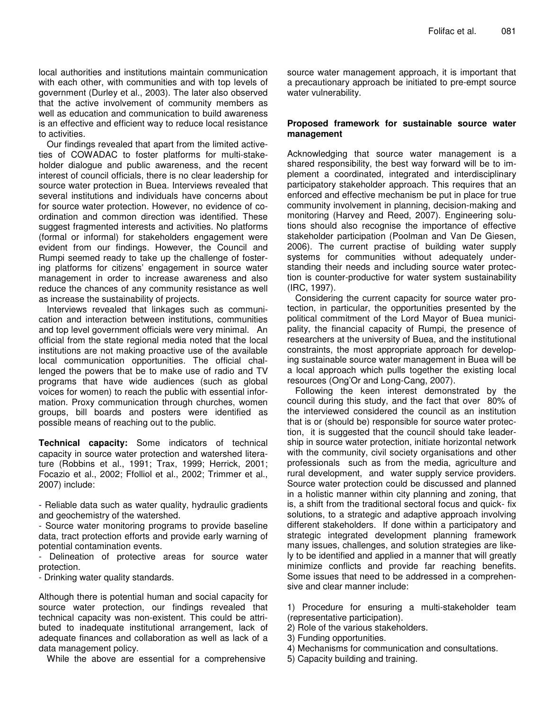local authorities and institutions maintain communication with each other, with communities and with top levels of government (Durley et al., 2003). The later also observed that the active involvement of community members as well as education and communication to build awareness is an effective and efficient way to reduce local resistance to activities.

Our findings revealed that apart from the limited activeties of COWADAC to foster platforms for multi-stakeholder dialogue and public awareness, and the recent interest of council officials, there is no clear leadership for source water protection in Buea. Interviews revealed that several institutions and individuals have concerns about for source water protection. However, no evidence of coordination and common direction was identified. These suggest fragmented interests and activities. No platforms (formal or informal) for stakeholders engagement were evident from our findings. However, the Council and Rumpi seemed ready to take up the challenge of fostering platforms for citizens' engagement in source water management in order to increase awareness and also reduce the chances of any community resistance as well as increase the sustainability of projects.

Interviews revealed that linkages such as communication and interaction between institutions, communities and top level government officials were very minimal. An official from the state regional media noted that the local institutions are not making proactive use of the available local communication opportunities. The official challenged the powers that be to make use of radio and TV programs that have wide audiences (such as global voices for women) to reach the public with essential information. Proxy communication through churches, women groups, bill boards and posters were identified as possible means of reaching out to the public.

**Technical capacity:** Some indicators of technical capacity in source water protection and watershed literature (Robbins et al., 1991; Trax, 1999; Herrick, 2001; Focazio et al., 2002; Ffolliol et al., 2002; Trimmer et al., 2007) include:

- Reliable data such as water quality, hydraulic gradients and geochemistry of the watershed.

- Source water monitoring programs to provide baseline data, tract protection efforts and provide early warning of potential contamination events.

Delineation of protective areas for source water protection.

- Drinking water quality standards.

Although there is potential human and social capacity for source water protection, our findings revealed that technical capacity was non-existent. This could be attributed to inadequate institutional arrangement, lack of adequate finances and collaboration as well as lack of a data management policy.

While the above are essential for a comprehensive

source water management approach, it is important that a precautionary approach be initiated to pre-empt source water vulnerability.

#### **Proposed framework for sustainable source water management**

Acknowledging that source water management is a shared responsibility, the best way forward will be to implement a coordinated, integrated and interdisciplinary participatory stakeholder approach. This requires that an enforced and effective mechanism be put in place for true community involvement in planning, decision-making and monitoring (Harvey and Reed, 2007). Engineering solutions should also recognise the importance of effective stakeholder participation (Poolman and Van De Giesen, 2006). The current practise of building water supply systems for communities without adequately understanding their needs and including source water protection is counter-productive for water system sustainability (IRC, 1997).

Considering the current capacity for source water protection, in particular, the opportunities presented by the political commitment of the Lord Mayor of Buea municipality, the financial capacity of Rumpi, the presence of researchers at the university of Buea, and the institutional constraints, the most appropriate approach for developing sustainable source water management in Buea will be a local approach which pulls together the existing local resources (Ong'Or and Long-Cang, 2007).

Following the keen interest demonstrated by the council during this study, and the fact that over 80% of the interviewed considered the council as an institution that is or (should be) responsible for source water protection, it is suggested that the council should take leadership in source water protection, initiate horizontal network with the community, civil society organisations and other professionals such as from the media, agriculture and rural development, and water supply service providers. Source water protection could be discussed and planned in a holistic manner within city planning and zoning, that is, a shift from the traditional sectoral focus and quick- fix solutions, to a strategic and adaptive approach involving different stakeholders. If done within a participatory and strategic integrated development planning framework many issues, challenges, and solution strategies are likely to be identified and applied in a manner that will greatly minimize conflicts and provide far reaching benefits. Some issues that need to be addressed in a comprehensive and clear manner include:

1) Procedure for ensuring a multi-stakeholder team (representative participation).

- 2) Role of the various stakeholders.
- 3) Funding opportunities.
- 4) Mechanisms for communication and consultations.
- 5) Capacity building and training.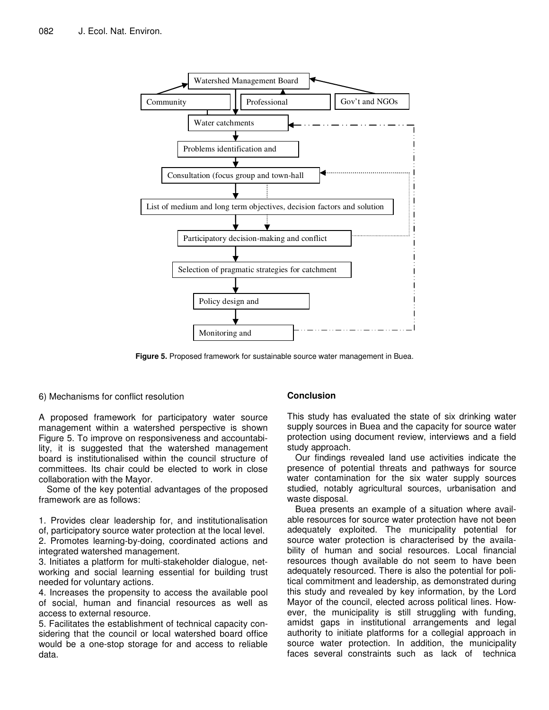

**Figure 5.** Proposed framework for sustainable source water management in Buea.

6) Mechanisms for conflict resolution

A proposed framework for participatory water source management within a watershed perspective is shown Figure 5. To improve on responsiveness and accountability, it is suggested that the watershed management board is institutionalised within the council structure of committees. Its chair could be elected to work in close collaboration with the Mayor.

Some of the key potential advantages of the proposed framework are as follows:

1. Provides clear leadership for, and institutionalisation of, participatory source water protection at the local level.

2. Promotes learning-by-doing, coordinated actions and integrated watershed management.

3. Initiates a platform for multi-stakeholder dialogue, networking and social learning essential for building trust needed for voluntary actions.

4. Increases the propensity to access the available pool of social, human and financial resources as well as access to external resource.

5. Facilitates the establishment of technical capacity considering that the council or local watershed board office would be a one-stop storage for and access to reliable data.

# **Conclusion**

This study has evaluated the state of six drinking water supply sources in Buea and the capacity for source water protection using document review, interviews and a field study approach.

Our findings revealed land use activities indicate the presence of potential threats and pathways for source water contamination for the six water supply sources studied, notably agricultural sources, urbanisation and waste disposal.

Buea presents an example of a situation where available resources for source water protection have not been adequately exploited. The municipality potential for source water protection is characterised by the availability of human and social resources. Local financial resources though available do not seem to have been adequately resourced. There is also the potential for political commitment and leadership, as demonstrated during this study and revealed by key information, by the Lord Mayor of the council, elected across political lines. However, the municipality is still struggling with funding, amidst gaps in institutional arrangements and legal authority to initiate platforms for a collegial approach in source water protection. In addition, the municipality faces several constraints such as lack of technica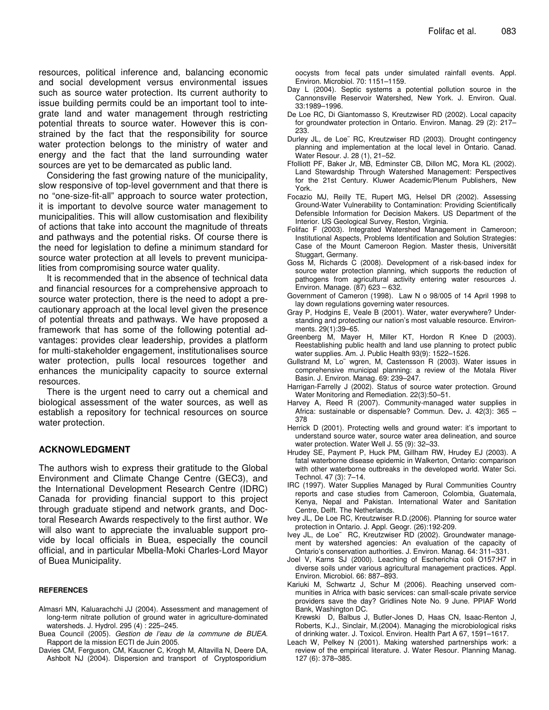resources, political inference and, balancing economic and social development versus environmental issues such as source water protection. Its current authority to issue building permits could be an important tool to integrate land and water management through restricting potential threats to source water. However this is constrained by the fact that the responsibility for source water protection belongs to the ministry of water and energy and the fact that the land surrounding water sources are yet to be demarcated as public land.

Considering the fast growing nature of the municipality, slow responsive of top-level government and that there is no "one-size-fit-all" approach to source water protection, it is important to devolve source water management to municipalities. This will allow customisation and flexibility of actions that take into account the magnitude of threats and pathways and the potential risks. Of course there is the need for legislation to define a minimum standard for source water protection at all levels to prevent municipalities from compromising source water quality.

It is recommended that in the absence of technical data and financial resources for a comprehensive approach to source water protection, there is the need to adopt a precautionary approach at the local level given the presence of potential threats and pathways. We have proposed a framework that has some of the following potential advantages: provides clear leadership, provides a platform for multi-stakeholder engagement, institutionalises source water protection, pulls local resources together and enhances the municipality capacity to source external resources.

There is the urgent need to carry out a chemical and biological assessment of the water sources, as well as establish a repository for technical resources on source water protection.

#### **ACKNOWLEDGMENT**

The authors wish to express their gratitude to the Global Environment and Climate Change Centre (GEC3), and the International Development Research Centre (IDRC) Canada for providing financial support to this project through graduate stipend and network grants, and Doctoral Research Awards respectively to the first author. We will also want to appreciate the invaluable support provide by local officials in Buea, especially the council official, and in particular Mbella-Moki Charles-Lord Mayor of Buea Municipality.

#### **REFERENCES**

- Almasri MN, Kaluarachchi JJ (2004). Assessment and management of long-term nitrate pollution of ground water in agriculture-dominated watersheds. J. Hydrol. 295 (4) : 225–245.
- Buea Council (2005). *Gestion de l'eau de la commune de BUEA*. Rapport de la mission ECTI de Juin 2005.
- Davies CM, Ferguson, CM, Kaucner C, Krogh M, Altavilla N, Deere DA, Ashbolt NJ (2004). Dispersion and transport of Cryptosporidium

oocysts from fecal pats under simulated rainfall events. Appl. Environ. Microbiol. 70: 1151–1159.

- Day L (2004). Septic systems a potential pollution source in the Cannonsville Reservoir Watershed, New York. J. Environ. Qual. 33:1989–1996.
- De Loe RC, Di Giantomasso S, Kreutzwiser RD (2002). Local capacity for groundwater protection in Ontario. Environ. Manag. 29 (2): 217– 233.
- Durley JL, de Loe¨ RC, Kreutzwiser RD (2003). Drought contingency planning and implementation at the local level in Ontario. Canad. Water Resour. J. 28 (1), 21–52.
- Ffolliott PF, Baker Jr, MB, Edminster CB, Dillon MC, Mora KL (2002). Land Stewardship Through Watershed Management: Perspectives for the 21st Century. Kluwer Academic/Plenum Publishers, New York.
- Focazio MJ, Reilly TE, Rupert MG, Helsel DR (2002). Assessing Ground-Water Vulnerability to Contamination: Providing Scientifically Defensible Information for Decision Makers. US Department of the Interior. US Geological Survey, Reston, Virginia.
- Folifac F (2003). Integrated Watershed Management in Cameroon; Institutional Aspects, Problems Identification and Solution Strategies: Case of the Mount Cameroon Region. Master thesis, Universität Stuggart, Germany.
- Goss M, Richards C (2008). Development of a risk-based index for source water protection planning, which supports the reduction of pathogens from agricultural activity entering water resources J. Environ. Manage. (87) 623 – 632.
- Government of Cameron (1998). Law N o 98/005 of 14 April 1998 to lay down regulations governing water resources.
- Gray P, Hodgins E, Veale B (2001). Water, water everywhere? Understanding and protecting our nation's most valuable resource. Environments*.* 29(1):39–65.
- Greenberg M, Mayer H, Miller KT, Hordon R Knee D (2003). Reestablishing public health and land use planning to protect public water supplies. Am. J. Public Health 93(9): 1522–1526.
- Gullstrand M, Lo¨ wgren, M, Castensson R (2003). Water issues in comprehensive municipal planning: a review of the Motala River Basin. J. Environ. Manag. 69: 239–247.
- Harrigan-Farrelly J (2002). Status of source water protection. Ground Water Monitoring and Remediation. 22(3):50–51.
- Harvey A, Reed R (2007). Community-managed water supplies in Africa: sustainable or dispensable? Commun. Dev**.** J. 42(3): 365 – 378
- Herrick D (2001). Protecting wells and ground water: it's important to understand source water, source water area delineation, and source water protection. Water Well J. 55 (9): 32–33.
- Hrudey SE, Payment P, Huck PM, Gillham RW, Hrudey EJ (2003). A fatal waterborne disease epidemic in Walkerton, Ontario: comparison with other waterborne outbreaks in the developed world. Water Sci. Technol. 47 (3): 7–14.
- IRC (1997). Water Supplies Managed by Rural Communities Country reports and case studies from Cameroon, Colombia, Guatemala, Kenya, Nepal and Pakistan. International Water and Sanitation Centre, Delft. The Netherlands.
- Ivey JL, De Loe RC, Kreutzwiser R.D.(2006). Planning for source water protection in Ontario. J. Appl. Geogr. (26):192-209.
- Ivey JL, de Loe¨ RC, Kreutzwiser RD (2002). Groundwater management by watershed agencies: An evaluation of the capacity of Ontario's conservation authorities. J. Environ. Manag*.* 64: 311–331.
- Joel V, Karns SJ (2000). Leaching of Escherichia coli O157:H7 in diverse soils under various agricultural management practices. Appl. Environ. Microbiol. 66: 887–893.
- Kariuki M, Schwartz J, Schur M (2006). Reaching unserved communities in Africa with basic services: can small-scale private service providers save the day? Gridlines Note No. 9 June. PPIAF World Bank, Washington DC.
- Krewski D, Balbus J, Butler-Jones D, Haas CN, Isaac-Renton J, Roberts, K.J., Sinclair, M.(2004). Managing the microbiological risks of drinking water. J. Toxicol. Environ. Health Part A 67, 1591–1617.
- Leach W, Pelkey N (2001). Making watershed partnerships work: a review of the empirical literature. J. Water Resour. Planning Manag. 127 (6): 378–385.